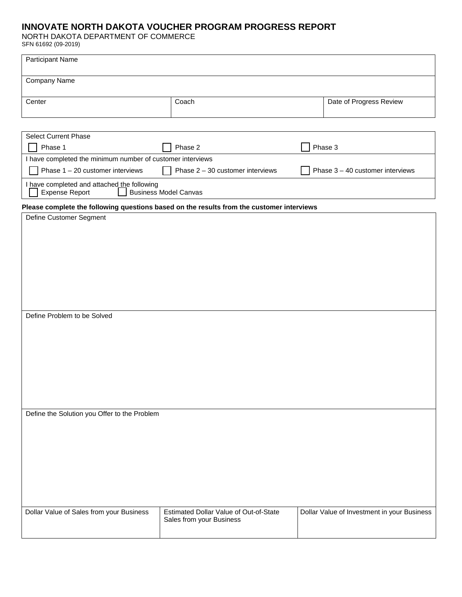# **INNOVATE NORTH DAKOTA VOUCHER PROGRAM PROGRESS REPORT**

NORTH DAKOTA DEPARTMENT OF COMMERCE

SFN 61692 (09-2019)

| <b>Participant Name</b> |       |                         |
|-------------------------|-------|-------------------------|
| Company Name            |       |                         |
| Center                  | Coach | Date of Progress Review |

| <b>Select Current Phase</b>                                |                                    |                                    |  |  |  |
|------------------------------------------------------------|------------------------------------|------------------------------------|--|--|--|
| Phase 1                                                    | Phase 2                            | Phase 3                            |  |  |  |
| I have completed the minimum number of customer interviews |                                    |                                    |  |  |  |
|                                                            |                                    |                                    |  |  |  |
| Phase $1 - 20$ customer interviews                         | Phase $2 - 30$ customer interviews | Phase $3 - 40$ customer interviews |  |  |  |

# **Please complete the following questions based on the results from the customer interviews**

| - -                                          |                                        |                                             |
|----------------------------------------------|----------------------------------------|---------------------------------------------|
| Define Customer Segment                      |                                        |                                             |
|                                              |                                        |                                             |
|                                              |                                        |                                             |
|                                              |                                        |                                             |
|                                              |                                        |                                             |
|                                              |                                        |                                             |
|                                              |                                        |                                             |
|                                              |                                        |                                             |
|                                              |                                        |                                             |
|                                              |                                        |                                             |
|                                              |                                        |                                             |
|                                              |                                        |                                             |
|                                              |                                        |                                             |
|                                              |                                        |                                             |
|                                              |                                        |                                             |
|                                              |                                        |                                             |
| Define Problem to be Solved                  |                                        |                                             |
|                                              |                                        |                                             |
|                                              |                                        |                                             |
|                                              |                                        |                                             |
|                                              |                                        |                                             |
|                                              |                                        |                                             |
|                                              |                                        |                                             |
|                                              |                                        |                                             |
|                                              |                                        |                                             |
|                                              |                                        |                                             |
|                                              |                                        |                                             |
|                                              |                                        |                                             |
|                                              |                                        |                                             |
|                                              |                                        |                                             |
|                                              |                                        |                                             |
|                                              |                                        |                                             |
|                                              |                                        |                                             |
|                                              |                                        |                                             |
| Define the Solution you Offer to the Problem |                                        |                                             |
|                                              |                                        |                                             |
|                                              |                                        |                                             |
|                                              |                                        |                                             |
|                                              |                                        |                                             |
|                                              |                                        |                                             |
|                                              |                                        |                                             |
|                                              |                                        |                                             |
|                                              |                                        |                                             |
|                                              |                                        |                                             |
|                                              |                                        |                                             |
|                                              |                                        |                                             |
|                                              |                                        |                                             |
|                                              |                                        |                                             |
|                                              |                                        |                                             |
|                                              |                                        |                                             |
|                                              |                                        |                                             |
| Dollar Value of Sales from your Business     | Estimated Dollar Value of Out-of-State | Dollar Value of Investment in your Business |
|                                              | Sales from your Business               |                                             |
|                                              |                                        |                                             |
|                                              |                                        |                                             |
|                                              |                                        |                                             |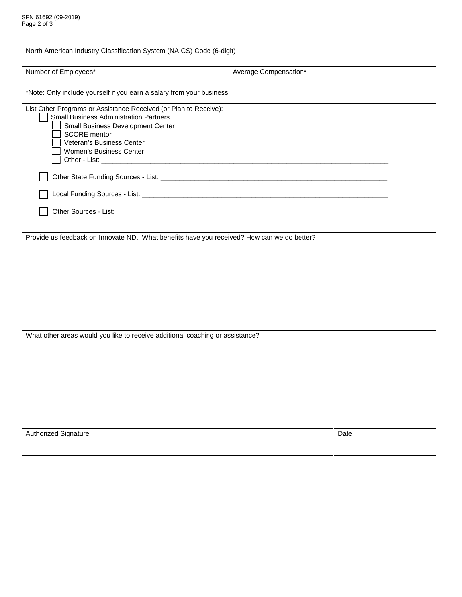| North American Industry Classification System (NAICS) Code (6-digit)                                                                                                                                                                  |                       |      |  |  |
|---------------------------------------------------------------------------------------------------------------------------------------------------------------------------------------------------------------------------------------|-----------------------|------|--|--|
| Number of Employees*                                                                                                                                                                                                                  | Average Compensation* |      |  |  |
| *Note: Only include yourself if you earn a salary from your business                                                                                                                                                                  |                       |      |  |  |
| List Other Programs or Assistance Received (or Plan to Receive):<br><b>Small Business Administration Partners</b><br>Small Business Development Center<br><b>SCORE</b> mentor<br>Veteran's Business Center<br>Women's Business Center |                       |      |  |  |
|                                                                                                                                                                                                                                       |                       |      |  |  |
|                                                                                                                                                                                                                                       |                       |      |  |  |
|                                                                                                                                                                                                                                       |                       |      |  |  |
| Provide us feedback on Innovate ND. What benefits have you received? How can we do better?                                                                                                                                            |                       |      |  |  |
|                                                                                                                                                                                                                                       |                       |      |  |  |
| What other areas would you like to receive additional coaching or assistance?                                                                                                                                                         |                       |      |  |  |
|                                                                                                                                                                                                                                       |                       |      |  |  |
| Authorized Signature                                                                                                                                                                                                                  |                       | Date |  |  |